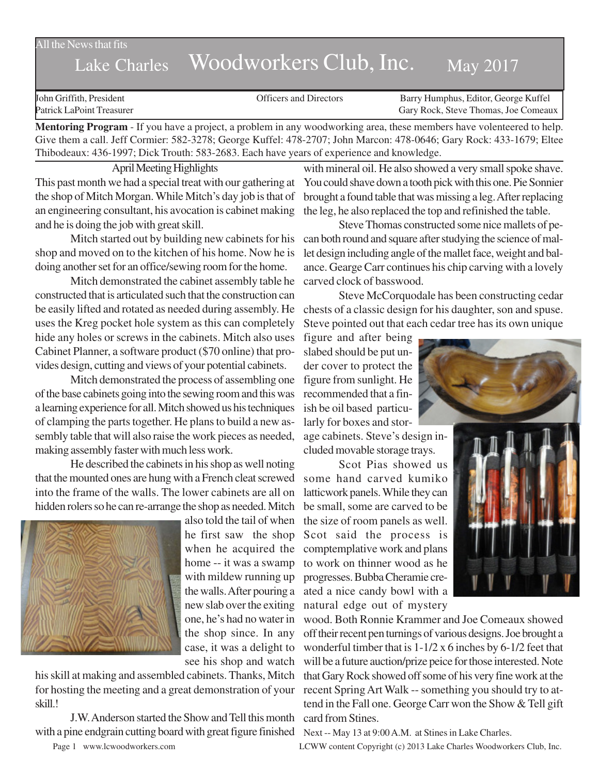All the News that fits

# Lake Charles Woodworkers Club, Inc. May 2017

| John Griffith, President  | <b>Officers and Directors</b> | Barry Humphus, Editor, George Kuffel |
|---------------------------|-------------------------------|--------------------------------------|
| Patrick LaPoint Treasurer |                               | Gary Rock, Steve Thomas, Joe Comeaux |
| .                         |                               |                                      |

**Mentoring Program** - If you have a project, a problem in any woodworking area, these members have volenteered to help. Give them a call. Jeff Cormier: 582-3278; George Kuffel: 478-2707; John Marcon: 478-0646; Gary Rock: 433-1679; Eltee Thibodeaux: 436-1997; Dick Trouth: 583-2683. Each have years of experience and knowledge.

April Meeting Highlights This past month we had a special treat with our gathering at the shop of Mitch Morgan. While Mitch's day job is that of an engineering consultant, his avocation is cabinet making and he is doing the job with great skill.

Mitch started out by building new cabinets for his shop and moved on to the kitchen of his home. Now he is doing another set for an office/sewing room for the home.

Mitch demonstrated the cabinet assembly table he constructed that is articulated such that the construction can be easily lifted and rotated as needed during assembly. He uses the Kreg pocket hole system as this can completely hide any holes or screws in the cabinets. Mitch also uses Cabinet Planner, a software product (\$70 online) that provides design, cutting and views of your potential cabinets.

Mitch demonstrated the process of assembling one of the base cabinets going into the sewing room and this was a learning experience for all. Mitch showed us his techniques of clamping the parts together. He plans to build a new assembly table that will also raise the work pieces as needed, making assembly faster with much less work.

He described the cabinets in his shop as well noting that the mounted ones are hung with a French cleat screwed into the frame of the walls. The lower cabinets are all on hidden rolers so he can re-arrange the shop as needed. Mitch



also told the tail of when he first saw the shop home -- it was a swamp with mildew running up the walls. After pouring a new slab over the exiting one, he's had no water in the shop since. In any case, it was a delight to see his shop and watch

his skill at making and assembled cabinets. Thanks, Mitch for hosting the meeting and a great demonstration of your skill.!

J.W. Anderson started the Show and Tell this month card from Stines. with a pine endgrain cutting board with great figure finished Next -- May 13 at 9:00 A.M. at Stines in Lake Charles.

with mineral oil. He also showed a very small spoke shave. You could shave down a tooth pick with this one. Pie Sonnier brought a found table that was missing a leg. After replacing the leg, he also replaced the top and refinished the table.

Steve Thomas constructed some nice mallets of pecan both round and square after studying the science of mallet design including angle of the mallet face, weight and balance. Gearge Carr continues his chip carving with a lovely carved clock of basswood.

Steve McCorquodale has been constructing cedar chests of a classic design for his daughter, son and spuse. Steve pointed out that each cedar tree has its own unique

figure and after being slabed should be put under cover to protect the figure from sunlight. He recommended that a finish be oil based particularly for boxes and stor-

age cabinets. Steve's design included movable storage trays.

when he acquired the comptemplative work and plans Scot Pias showed us some hand carved kumiko latticwork panels. While they can be small, some are carved to be the size of room panels as well. Scot said the process is to work on thinner wood as he progresses. Bubba Cheramie created a nice candy bowl with a natural edge out of mystery





wood. Both Ronnie Krammer and Joe Comeaux showed off their recent pen turnings of various designs. Joe brought a wonderful timber that is 1-1/2 x 6 inches by 6-1/2 feet that will be a future auction/prize peice for those interested. Note that Gary Rock showed off some of his very fine work at the recent Spring Art Walk -- something you should try to attend in the Fall one. George Carr won the Show & Tell gift

Page 1 www.lcwoodworkers.com LCWW content Copyright (c) 2013 Lake Charles Woodworkers Club, Inc.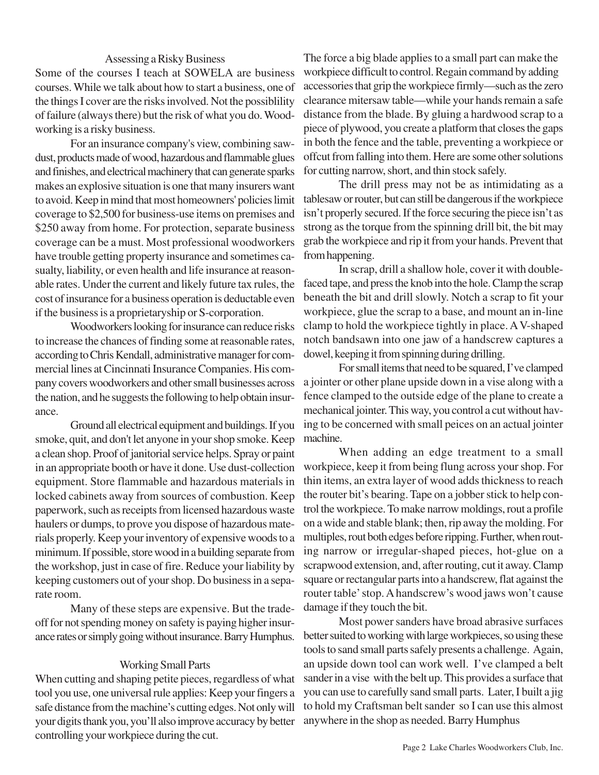### Assessing a Risky Business

Some of the courses I teach at SOWELA are business courses. While we talk about how to start a business, one of the things I cover are the risks involved. Not the possiblility of failure (always there) but the risk of what you do. Woodworking is a risky business.

For an insurance company's view, combining sawdust, products made of wood, hazardous and flammable glues and finishes, and electrical machinery that can generate sparks makes an explosive situation is one that many insurers want to avoid. Keep in mind that most homeowners' policies limit coverage to \$2,500 for business-use items on premises and \$250 away from home. For protection, separate business coverage can be a must. Most professional woodworkers have trouble getting property insurance and sometimes casualty, liability, or even health and life insurance at reasonable rates. Under the current and likely future tax rules, the cost of insurance for a business operation is deductable even if the business is a proprietaryship or S-corporation.

Woodworkers looking for insurance can reduce risks to increase the chances of finding some at reasonable rates, according to Chris Kendall, administrative manager for commercial lines at Cincinnati Insurance Companies. His company covers woodworkers and other small businesses across the nation, and he suggests the following to help obtain insurance.

Ground all electrical equipment and buildings. If you smoke, quit, and don't let anyone in your shop smoke. Keep a clean shop. Proof of janitorial service helps. Spray or paint in an appropriate booth or have it done. Use dust-collection equipment. Store flammable and hazardous materials in locked cabinets away from sources of combustion. Keep paperwork, such as receipts from licensed hazardous waste haulers or dumps, to prove you dispose of hazardous materials properly. Keep your inventory of expensive woods to a minimum. If possible, store wood in a building separate from the workshop, just in case of fire. Reduce your liability by keeping customers out of your shop. Do business in a separate room.

Many of these steps are expensive. But the tradeoff for not spending money on safety is paying higher insurance rates or simply going without insurance. Barry Humphus.

#### Working Small Parts

When cutting and shaping petite pieces, regardless of what tool you use, one universal rule applies: Keep your fingers a safe distance from the machine's cutting edges. Not only will your digits thank you, you'll also improve accuracy by better controlling your workpiece during the cut.

The force a big blade applies to a small part can make the workpiece difficult to control. Regain command by adding accessories that grip the workpiece firmly—such as the zero clearance mitersaw table—while your hands remain a safe distance from the blade. By gluing a hardwood scrap to a piece of plywood, you create a platform that closes the gaps in both the fence and the table, preventing a workpiece or offcut from falling into them. Here are some other solutions for cutting narrow, short, and thin stock safely.

The drill press may not be as intimidating as a tablesaw or router, but can still be dangerous if the workpiece isn't properly secured. If the force securing the piece isn't as strong as the torque from the spinning drill bit, the bit may grab the workpiece and rip it from your hands. Prevent that from happening.

In scrap, drill a shallow hole, cover it with doublefaced tape, and press the knob into the hole. Clamp the scrap beneath the bit and drill slowly. Notch a scrap to fit your workpiece, glue the scrap to a base, and mount an in-line clamp to hold the workpiece tightly in place. A V-shaped notch bandsawn into one jaw of a handscrew captures a dowel, keeping it from spinning during drilling.

For small items that need to be squared, I've clamped a jointer or other plane upside down in a vise along with a fence clamped to the outside edge of the plane to create a mechanical jointer. This way, you control a cut without having to be concerned with small peices on an actual jointer machine.

When adding an edge treatment to a small workpiece, keep it from being flung across your shop. For thin items, an extra layer of wood adds thickness to reach the router bit's bearing. Tape on a jobber stick to help control the workpiece. To make narrow moldings, rout a profile on a wide and stable blank; then, rip away the molding. For multiples, rout both edges before ripping. Further, when routing narrow or irregular-shaped pieces, hot-glue on a scrapwood extension, and, after routing, cut it away. Clamp square or rectangular parts into a handscrew, flat against the router table' stop. A handscrew's wood jaws won't cause damage if they touch the bit.

Most power sanders have broad abrasive surfaces better suited to working with large workpieces, so using these tools to sand small parts safely presents a challenge. Again, an upside down tool can work well. I've clamped a belt sander in a vise with the belt up. This provides a surface that you can use to carefully sand small parts. Later, I built a jig to hold my Craftsman belt sander so I can use this almost anywhere in the shop as needed. Barry Humphus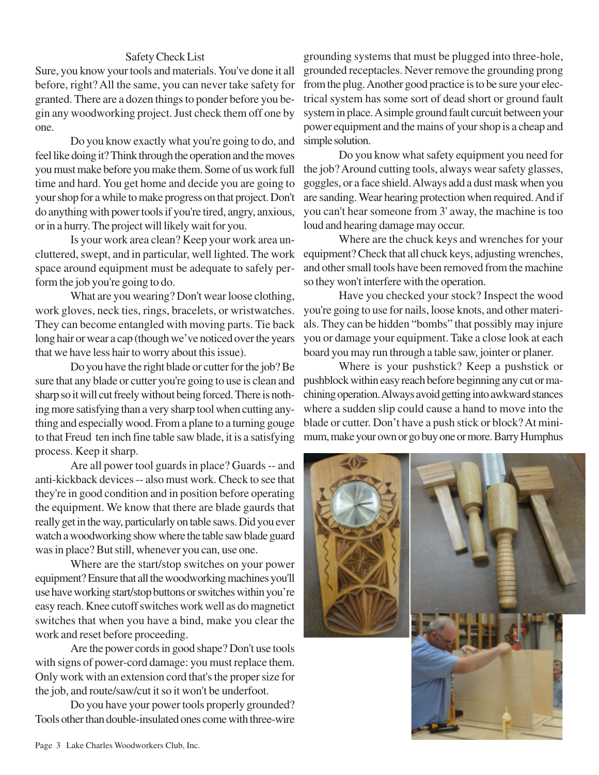## Safety Check List

Sure, you know your tools and materials. You've done it all before, right? All the same, you can never take safety for granted. There are a dozen things to ponder before you begin any woodworking project. Just check them off one by one.

Do you know exactly what you're going to do, and feel like doing it? Think through the operation and the moves you must make before you make them. Some of us work full time and hard. You get home and decide you are going to your shop for a while to make progress on that project. Don't do anything with power tools if you're tired, angry, anxious, or in a hurry. The project will likely wait for you.

Is your work area clean? Keep your work area uncluttered, swept, and in particular, well lighted. The work space around equipment must be adequate to safely perform the job you're going to do.

What are you wearing? Don't wear loose clothing, work gloves, neck ties, rings, bracelets, or wristwatches. They can become entangled with moving parts. Tie back long hair or wear a cap (though we've noticed over the years that we have less hair to worry about this issue).

Do you have the right blade or cutter for the job? Be sure that any blade or cutter you're going to use is clean and sharp so it will cut freely without being forced. There is nothing more satisfying than a very sharp tool when cutting anything and especially wood. From a plane to a turning gouge to that Freud ten inch fine table saw blade, it is a satisfying process. Keep it sharp.

Are all power tool guards in place? Guards -- and anti-kickback devices -- also must work. Check to see that they're in good condition and in position before operating the equipment. We know that there are blade gaurds that really get in the way, particularly on table saws. Did you ever watch a woodworking show where the table saw blade guard was in place? But still, whenever you can, use one.

Where are the start/stop switches on your power equipment? Ensure that all the woodworking machines you'll use have working start/stop buttons or switches within you're easy reach. Knee cutoff switches work well as do magnetict switches that when you have a bind, make you clear the work and reset before proceeding.

Are the power cords in good shape? Don't use tools with signs of power-cord damage: you must replace them. Only work with an extension cord that's the proper size for the job, and route/saw/cut it so it won't be underfoot.

Do you have your power tools properly grounded? Tools other than double-insulated ones come with three-wire

grounding systems that must be plugged into three-hole, grounded receptacles. Never remove the grounding prong from the plug. Another good practice is to be sure your electrical system has some sort of dead short or ground fault system in place. A simple ground fault curcuit between your power equipment and the mains of your shop is a cheap and simple solution.

Do you know what safety equipment you need for the job? Around cutting tools, always wear safety glasses, goggles, or a face shield. Always add a dust mask when you are sanding. Wear hearing protection when required. And if you can't hear someone from 3' away, the machine is too loud and hearing damage may occur.

Where are the chuck keys and wrenches for your equipment? Check that all chuck keys, adjusting wrenches, and other small tools have been removed from the machine so they won't interfere with the operation.

Have you checked your stock? Inspect the wood you're going to use for nails, loose knots, and other materials. They can be hidden "bombs" that possibly may injure you or damage your equipment. Take a close look at each board you may run through a table saw, jointer or planer.

Where is your pushstick? Keep a pushstick or pushblock within easy reach before beginning any cut or machining operation. Always avoid getting into awkward stances where a sudden slip could cause a hand to move into the blade or cutter. Don't have a push stick or block? At minimum, make your own or go buy one or more. Barry Humphus